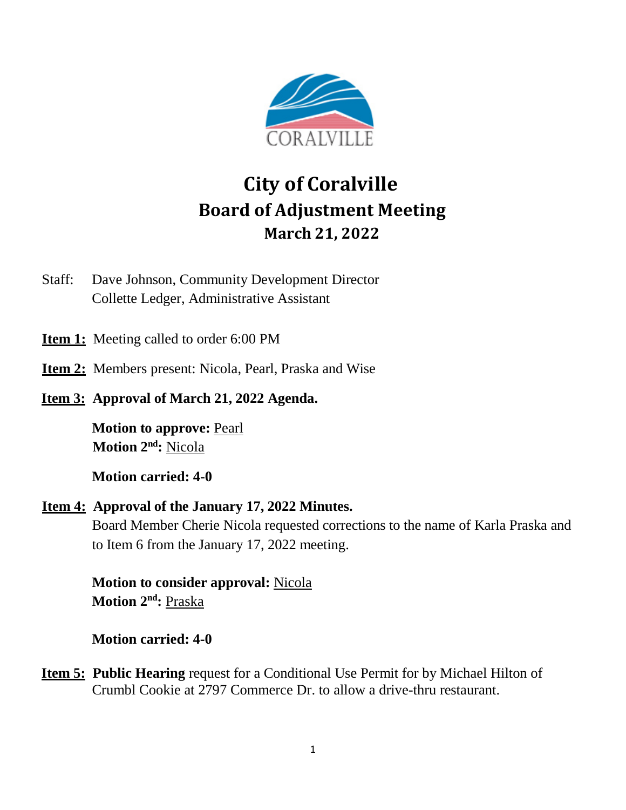

# **City of Coralville Board of Adjustment Meeting March 21, 2022**

Staff: Dave Johnson, Community Development Director Collette Ledger, Administrative Assistant

- **Item 1:** Meeting called to order 6:00 PM
- **Item 2:** Members present: Nicola, Pearl, Praska and Wise
- **Item 3: Approval of March 21, 2022 Agenda.**

**Motion to approve:** Pearl **Motion 2 nd:** Nicola

**Motion carried: 4-0**

**Item 4: Approval of the January 17, 2022 Minutes.**

Board Member Cherie Nicola requested corrections to the name of Karla Praska and to Item 6 from the January 17, 2022 meeting.

**Motion to consider approval:** Nicola **Motion 2 nd:** Praska

**Motion carried: 4-0**

**Item 5: Public Hearing** request for a Conditional Use Permit for by Michael Hilton of Crumbl Cookie at 2797 Commerce Dr. to allow a drive-thru restaurant.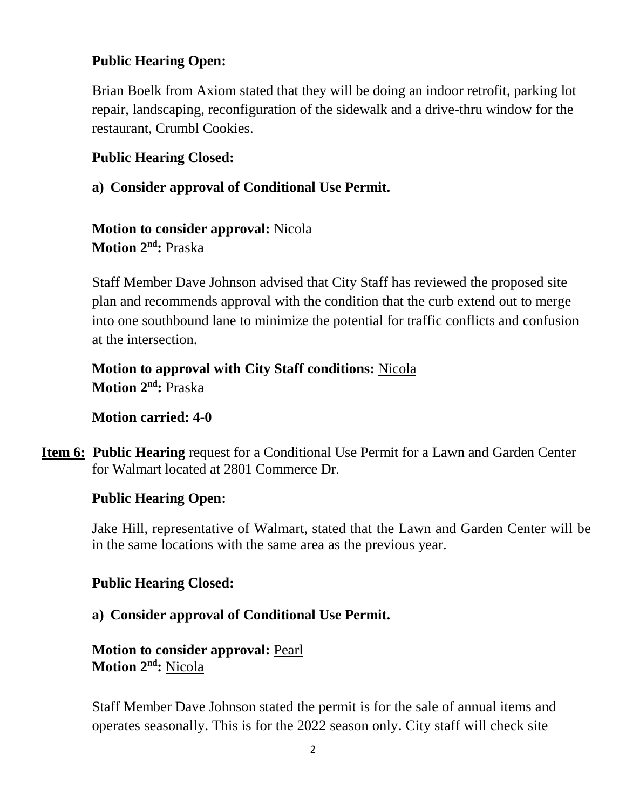# **Public Hearing Open:**

Brian Boelk from Axiom stated that they will be doing an indoor retrofit, parking lot repair, landscaping, reconfiguration of the sidewalk and a drive-thru window for the restaurant, Crumbl Cookies.

## **Public Hearing Closed:**

**a) Consider approval of Conditional Use Permit.**

**Motion to consider approval:** Nicola **Motion 2 nd:** Praska

Staff Member Dave Johnson advised that City Staff has reviewed the proposed site plan and recommends approval with the condition that the curb extend out to merge into one southbound lane to minimize the potential for traffic conflicts and confusion at the intersection.

**Motion to approval with City Staff conditions:** Nicola **Motion 2 nd:** Praska

## **Motion carried: 4-0**

**Item 6: Public Hearing** request for a Conditional Use Permit for a Lawn and Garden Center for Walmart located at 2801 Commerce Dr.

## **Public Hearing Open:**

Jake Hill, representative of Walmart, stated that the Lawn and Garden Center will be in the same locations with the same area as the previous year.

## **Public Hearing Closed:**

## **a) Consider approval of Conditional Use Permit.**

**Motion to consider approval:** Pearl **Motion 2 nd:** Nicola

Staff Member Dave Johnson stated the permit is for the sale of annual items and operates seasonally. This is for the 2022 season only. City staff will check site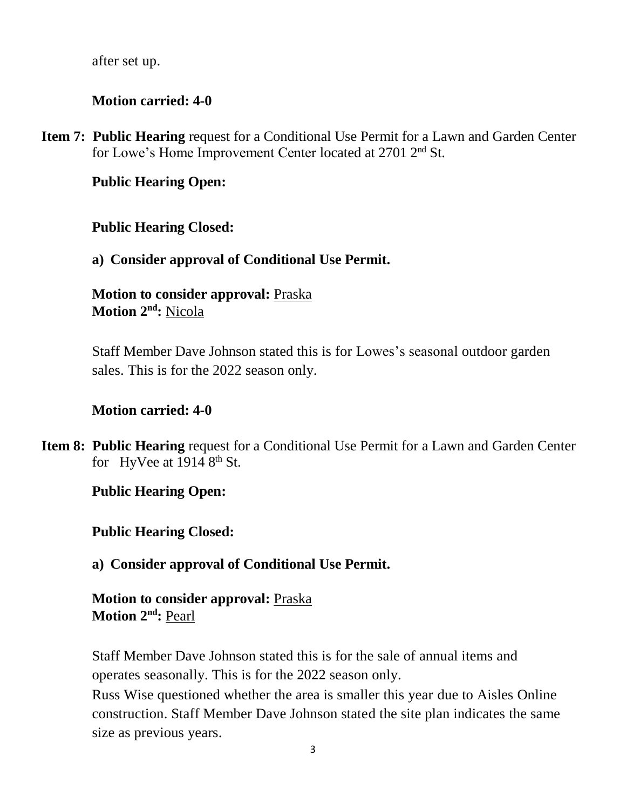after set up.

# **Motion carried: 4-0**

**Item 7: Public Hearing** request for a Conditional Use Permit for a Lawn and Garden Center for Lowe's Home Improvement Center located at 2701 2<sup>nd</sup> St.

# **Public Hearing Open:**

# **Public Hearing Closed:**

# **a) Consider approval of Conditional Use Permit.**

**Motion to consider approval:** Praska **Motion 2 nd:** Nicola

Staff Member Dave Johnson stated this is for Lowes's seasonal outdoor garden sales. This is for the 2022 season only.

# **Motion carried: 4-0**

**Item 8: Public Hearing** request for a Conditional Use Permit for a Lawn and Garden Center for HyVee at  $1914 8<sup>th</sup>$  St.

# **Public Hearing Open:**

# **Public Hearing Closed:**

**a) Consider approval of Conditional Use Permit.**

# **Motion to consider approval:** Praska **Motion 2 nd:** Pearl

Staff Member Dave Johnson stated this is for the sale of annual items and operates seasonally. This is for the 2022 season only.

Russ Wise questioned whether the area is smaller this year due to Aisles Online construction. Staff Member Dave Johnson stated the site plan indicates the same size as previous years.